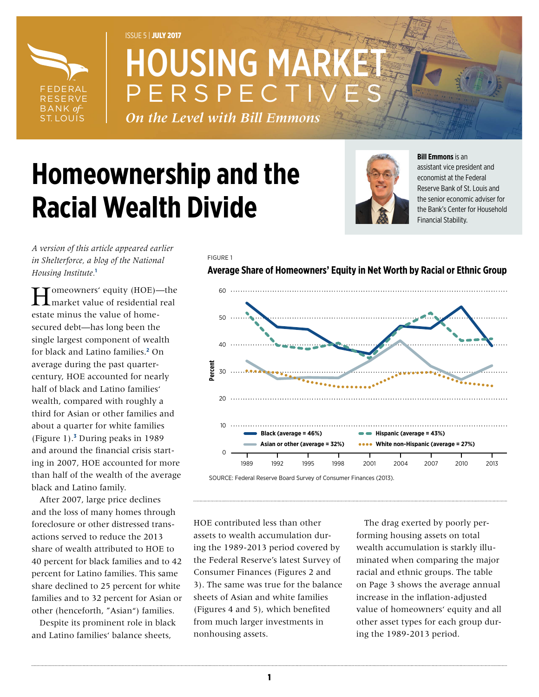

# ISSUE 5 | JULY 2017 **HOUSING MAR** PERSPECT

*On the Level with Bill Emmons*

FIGURE 1

# **Homeownership and the Racial Wealth Divide**



#### **Bill Emmons** is an

assistant vice president and economist at the Federal Reserve Bank of St. Louis and the senior economic adviser for the Bank's Center for Household Financial Stability.

*A version of this article appeared earlier in Shelterforce, a blog of the National Housing Institute.***[1](#page-2-0)**

**T**omeowners' equity (HOE)—the market value of residential real estate minus the value of homesecured debt—has long been the single largest component of wealth for black and Latino families.**[2](#page-2-1)** On average during the past quartercentury, HOE accounted for nearly half of black and Latino families' wealth, compared with roughly a third for Asian or other families and about a quarter for white families (Figure 1).**[3](#page-2-2)** During peaks in 1989 and around the financial crisis starting in 2007, HOE accounted for more than half of the wealth of the average black and Latino family.

After 2007, large price declines and the loss of many homes through foreclosure or other distressed transactions served to reduce the 2013 share of wealth attributed to HOE to 40 percent for black families and to 42 percent for Latino families. This same share declined to 25 percent for white families and to 32 percent for Asian or other (henceforth, "Asian") families.

Despite its prominent role in black and Latino families' balance sheets,

**Average Share of Homeowners' Equity in Net Worth by Racial or Ethnic Group**





HOE contributed less than other assets to wealth accumulation during the 1989-2013 period covered by the Federal Reserve's latest Survey of Consumer Finances (Figures 2 and 3). The same was true for the balance sheets of Asian and white families (Figures 4 and 5), which benefited from much larger investments in nonhousing assets.

The drag exerted by poorly performing housing assets on total wealth accumulation is starkly illuminated when comparing the major racial and ethnic groups. The table on Page 3 shows the average annual increase in the inflation-adjusted value of homeowners' equity and all other asset types for each group during the 1989-2013 period.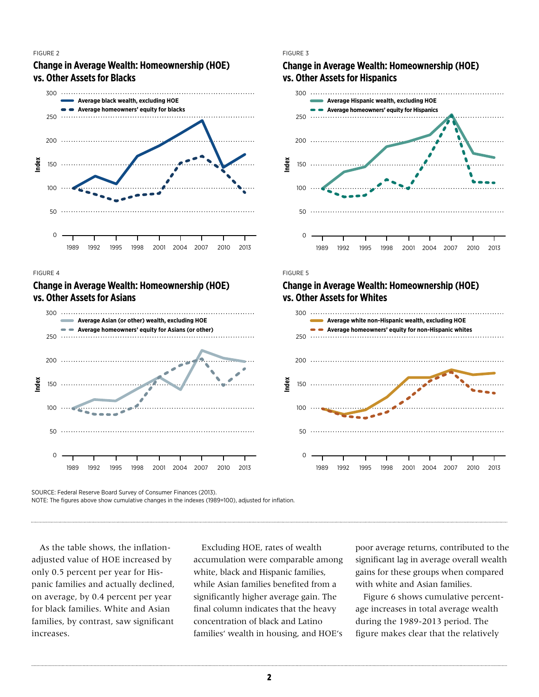#### FIGURE 2

# **Change in Average Wealth: Homeownership (HOE) vs. Other Assets for Blacks**



#### FIGURE 3

# **Change in Average Wealth: Homeownership (HOE) vs. Other Assets for Hispanics**



#### Note that figure shows cumulative changes in the indexes (1989), adjusted in the indexes (1989), adjusted in the indexes (1989), and in the indexes (1989), adjusted in the indexes (1989), adjusted in the indexes (1989), an

#### for inflation. Change in Average Wealth: Homeownership (HOE) **vs. Other Assets for Asians**



# vs. Other Assets for Whites **Change in Average Wealth: Homeownership (HOE)**

Note that figure shows cumulative changes in the indexes (1989), adjusted in the indexes (1989), adjusted in the indexes (1989), adjusted in the indexes (1989), adjusted in the indexes (1989), adjusted in the indexed in th



SOURCE: Federal Reserve Board Survey of Consumer Finances (2013).

NOTE: The figures above show cumulative changes in the indexes (1989=100), adjusted for inflation.

As the table shows, the inflationadjusted value of HOE increased by only 0.5 percent per year for Hispanic families and actually declined, on average, by 0.4 percent per year for black families. White and Asian families, by contrast, saw significant increases.

Excluding HOE, rates of wealth accumulation were comparable among white, black and Hispanic families, while Asian families benefited from a significantly higher average gain. The final column indicates that the heavy concentration of black and Latino families' wealth in housing, and HOE's poor average returns, contributed to the significant lag in average overall wealth gains for these groups when compared with white and Asian families.

Figure 6 shows cumulative percentage increases in total average wealth during the 1989-2013 period. The figure makes clear that the relatively